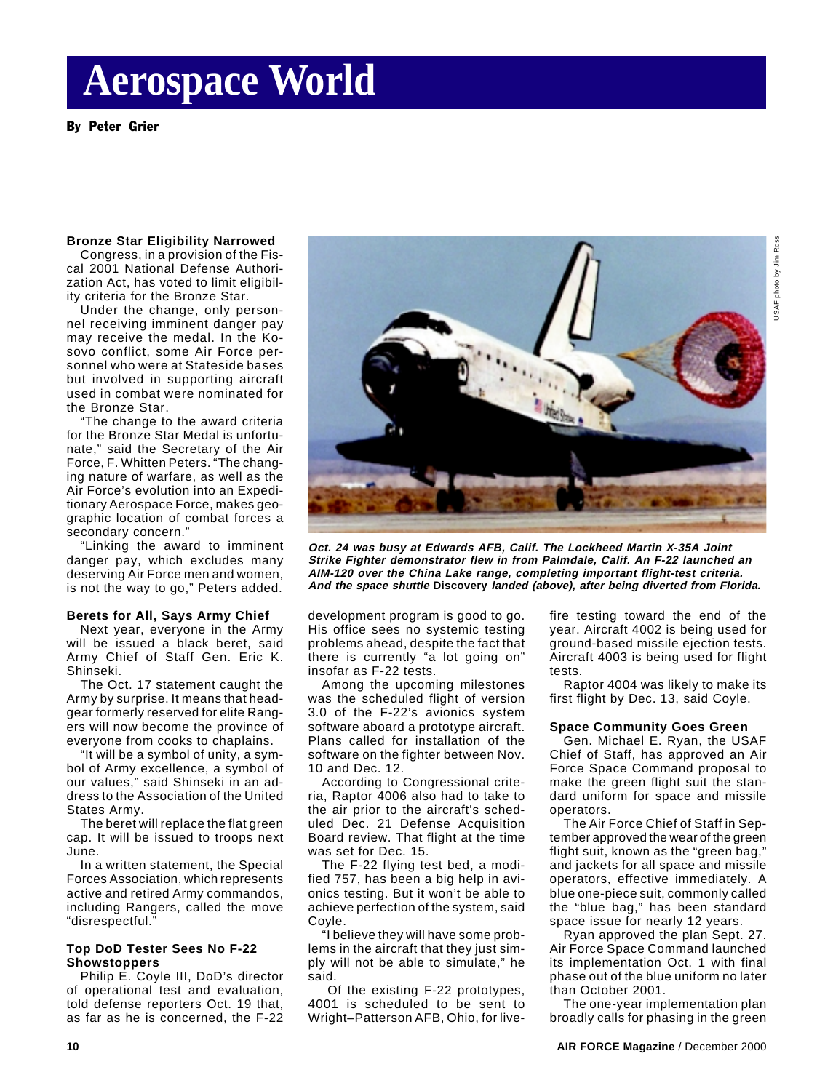# **Aerospace World**

By Peter Grier

#### **Bronze Star Eligibility Narrowed**

Congress, in a provision of the Fiscal 2001 National Defense Authorization Act, has voted to limit eligibility criteria for the Bronze Star.

Under the change, only personnel receiving imminent danger pay may receive the medal. In the Kosovo conflict, some Air Force personnel who were at Stateside bases but involved in supporting aircraft used in combat were nominated for the Bronze Star.

"The change to the award criteria for the Bronze Star Medal is unfortunate," said the Secretary of the Air Force, F. Whitten Peters. "The changing nature of warfare, as well as the Air Force's evolution into an Expeditionary Aerospace Force, makes geographic location of combat forces a secondary concern."

"Linking the award to imminent danger pay, which excludes many deserving Air Force men and women, is not the way to go," Peters added.

### **Berets for All, Says Army Chief**

Next year, everyone in the Army will be issued a black beret, said Army Chief of Staff Gen. Eric K. Shinseki.

The Oct. 17 statement caught the Army by surprise. It means that headgear formerly reserved for elite Rangers will now become the province of everyone from cooks to chaplains.

"It will be a symbol of unity, a symbol of Army excellence, a symbol of our values," said Shinseki in an address to the Association of the United States Army.

The beret will replace the flat green cap. It will be issued to troops next June.

In a written statement, the Special Forces Association, which represents active and retired Army commandos, including Rangers, called the move "disrespectful."

### **Top DoD Tester Sees No F-22 Showstoppers**

Philip E. Coyle III, DoD's director of operational test and evaluation, told defense reporters Oct. 19 that, as far as he is concerned, the F-22



**Oct. 24 was busy at Edwards AFB, Calif. The Lockheed Martin X-35A Joint Strike Fighter demonstrator flew in from Palmdale, Calif. An F-22 launched an AIM-120 over the China Lake range, completing important flight-test criteria. And the space shuttle Discovery landed (above), after being diverted from Florida.**

development program is good to go. His office sees no systemic testing problems ahead, despite the fact that there is currently "a lot going on" insofar as F-22 tests.

Among the upcoming milestones was the scheduled flight of version 3.0 of the F-22's avionics system software aboard a prototype aircraft. Plans called for installation of the software on the fighter between Nov. 10 and Dec. 12.

According to Congressional criteria, Raptor 4006 also had to take to the air prior to the aircraft's scheduled Dec. 21 Defense Acquisition Board review. That flight at the time was set for Dec. 15.

The F-22 flying test bed, a modified 757, has been a big help in avionics testing. But it won't be able to achieve perfection of the system, said Coyle.

"I believe they will have some problems in the aircraft that they just simply will not be able to simulate," he said.

 Of the existing F-22 prototypes, 4001 is scheduled to be sent to Wright–Patterson AFB, Ohio, for livefire testing toward the end of the year. Aircraft 4002 is being used for ground-based missile ejection tests. Aircraft 4003 is being used for flight tests.

Raptor 4004 was likely to make its first flight by Dec. 13, said Coyle.

#### **Space Community Goes Green**

Gen. Michael E. Ryan, the USAF Chief of Staff, has approved an Air Force Space Command proposal to make the green flight suit the standard uniform for space and missile operators.

The Air Force Chief of Staff in September approved the wear of the green flight suit, known as the "green bag," and jackets for all space and missile operators, effective immediately. A blue one-piece suit, commonly called the "blue bag," has been standard space issue for nearly 12 years.

Ryan approved the plan Sept. 27. Air Force Space Command launched its implementation Oct. 1 with final phase out of the blue uniform no later than October 2001.

The one-year implementation plan broadly calls for phasing in the green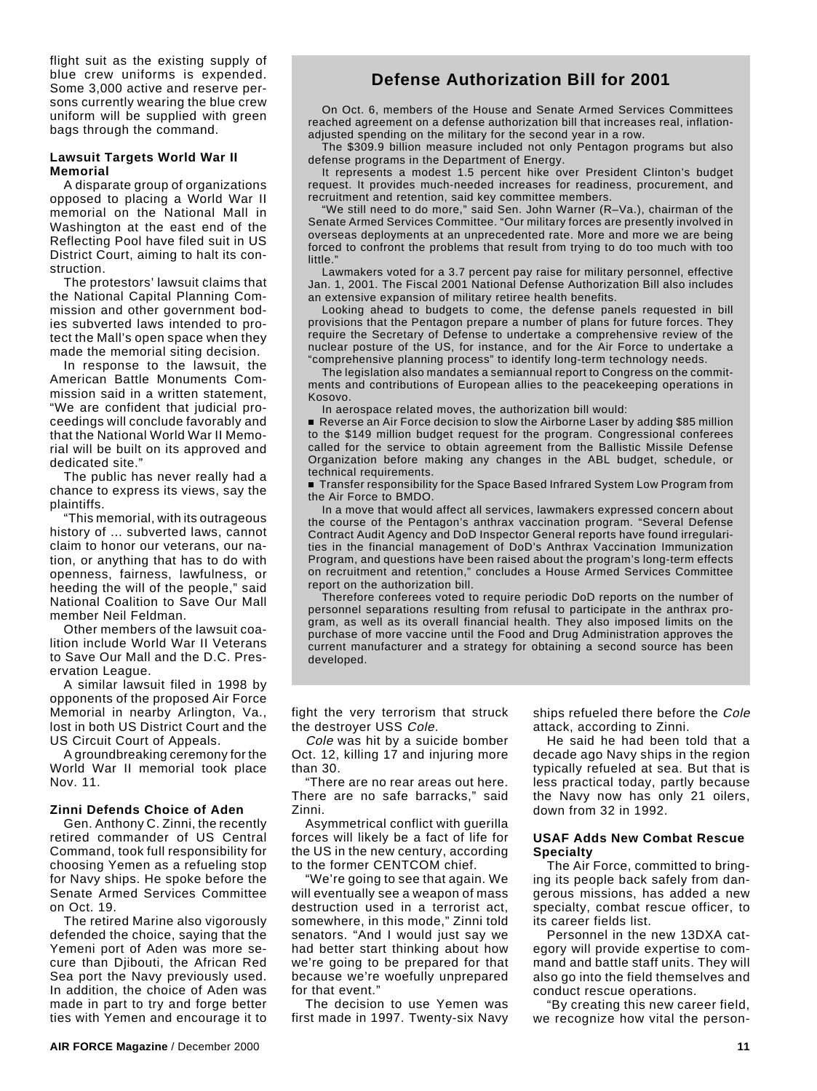flight suit as the existing supply of blue crew uniforms is expended. Some 3,000 active and reserve persons currently wearing the blue crew uniform will be supplied with green bags through the command.

## **Lawsuit Targets World War II Memorial**

A disparate group of organizations opposed to placing a World War II memorial on the National Mall in Washington at the east end of the Reflecting Pool have filed suit in US District Court, aiming to halt its construction.

The protestors' lawsuit claims that the National Capital Planning Commission and other government bodies subverted laws intended to protect the Mall's open space when they made the memorial siting decision.

In response to the lawsuit, the American Battle Monuments Commission said in a written statement, "We are confident that judicial proceedings will conclude favorably and that the National World War II Memorial will be built on its approved and dedicated site."

The public has never really had a chance to express its views, say the plaintiffs.

"This memorial, with its outrageous history of ... subverted laws, cannot claim to honor our veterans, our nation, or anything that has to do with openness, fairness, lawfulness, or heeding the will of the people," said National Coalition to Save Our Mall member Neil Feldman.

Other members of the lawsuit coalition include World War II Veterans to Save Our Mall and the D.C. Preservation League.

A similar lawsuit filed in 1998 by opponents of the proposed Air Force Memorial in nearby Arlington, Va., lost in both US District Court and the US Circuit Court of Appeals.

A groundbreaking ceremony for the World War II memorial took place Nov. 11.

### **Zinni Defends Choice of Aden**

Gen. Anthony C. Zinni, the recently retired commander of US Central Command, took full responsibility for choosing Yemen as a refueling stop for Navy ships. He spoke before the Senate Armed Services Committee on Oct. 19.

The retired Marine also vigorously defended the choice, saying that the Yemeni port of Aden was more secure than Djibouti, the African Red Sea port the Navy previously used. In addition, the choice of Aden was made in part to try and forge better ties with Yemen and encourage it to

## **Defense Authorization Bill for 2001**

On Oct. 6, members of the House and Senate Armed Services Committees reached agreement on a defense authorization bill that increases real, inflationadjusted spending on the military for the second year in a row.

The \$309.9 billion measure included not only Pentagon programs but also defense programs in the Department of Energy.

It represents a modest 1.5 percent hike over President Clinton's budget request. It provides much-needed increases for readiness, procurement, and recruitment and retention, said key committee members.

"We still need to do more," said Sen. John Warner (R–Va.), chairman of the Senate Armed Services Committee. "Our military forces are presently involved in overseas deployments at an unprecedented rate. More and more we are being forced to confront the problems that result from trying to do too much with too little."

Lawmakers voted for a 3.7 percent pay raise for military personnel, effective Jan. 1, 2001. The Fiscal 2001 National Defense Authorization Bill also includes an extensive expansion of military retiree health benefits.

Looking ahead to budgets to come, the defense panels requested in bill provisions that the Pentagon prepare a number of plans for future forces. They require the Secretary of Defense to undertake a comprehensive review of the nuclear posture of the US, for instance, and for the Air Force to undertake a "comprehensive planning process" to identify long-term technology needs.

The legislation also mandates a semiannual report to Congress on the commitments and contributions of European allies to the peacekeeping operations in Kosovo.

In aerospace related moves, the authorization bill would:

Reverse an Air Force decision to slow the Airborne Laser by adding \$85 million to the \$149 million budget request for the program. Congressional conferees called for the service to obtain agreement from the Ballistic Missile Defense Organization before making any changes in the ABL budget, schedule, or technical requirements.

■ Transfer responsibility for the Space Based Infrared System Low Program from the Air Force to BMDO.

In a move that would affect all services, lawmakers expressed concern about the course of the Pentagon's anthrax vaccination program. "Several Defense Contract Audit Agency and DoD Inspector General reports have found irregularities in the financial management of DoD's Anthrax Vaccination Immunization Program, and questions have been raised about the program's long-term effects on recruitment and retention," concludes a House Armed Services Committee report on the authorization bill.

Therefore conferees voted to require periodic DoD reports on the number of personnel separations resulting from refusal to participate in the anthrax program, as well as its overall financial health. They also imposed limits on the purchase of more vaccine until the Food and Drug Administration approves the current manufacturer and a strategy for obtaining a second source has been developed.

fight the very terrorism that struck the destroyer USS Cole.

Cole was hit by a suicide bomber Oct. 12, killing 17 and injuring more than 30.

"There are no rear areas out here. There are no safe barracks," said Zinni.

Asymmetrical conflict with guerilla forces will likely be a fact of life for the US in the new century, according to the former CENTCOM chief.

"We're going to see that again. We will eventually see a weapon of mass destruction used in a terrorist act, somewhere, in this mode," Zinni told senators. "And I would just say we had better start thinking about how we're going to be prepared for that because we're woefully unprepared for that event."

The decision to use Yemen was first made in 1997. Twenty-six Navy ships refueled there before the Cole attack, according to Zinni.

He said he had been told that a decade ago Navy ships in the region typically refueled at sea. But that is less practical today, partly because the Navy now has only 21 oilers, down from 32 in 1992.

## **USAF Adds New Combat Rescue Specialty**

The Air Force, committed to bringing its people back safely from dangerous missions, has added a new specialty, combat rescue officer, to its career fields list.

Personnel in the new 13DXA category will provide expertise to command and battle staff units. They will also go into the field themselves and conduct rescue operations.

"By creating this new career field, we recognize how vital the person-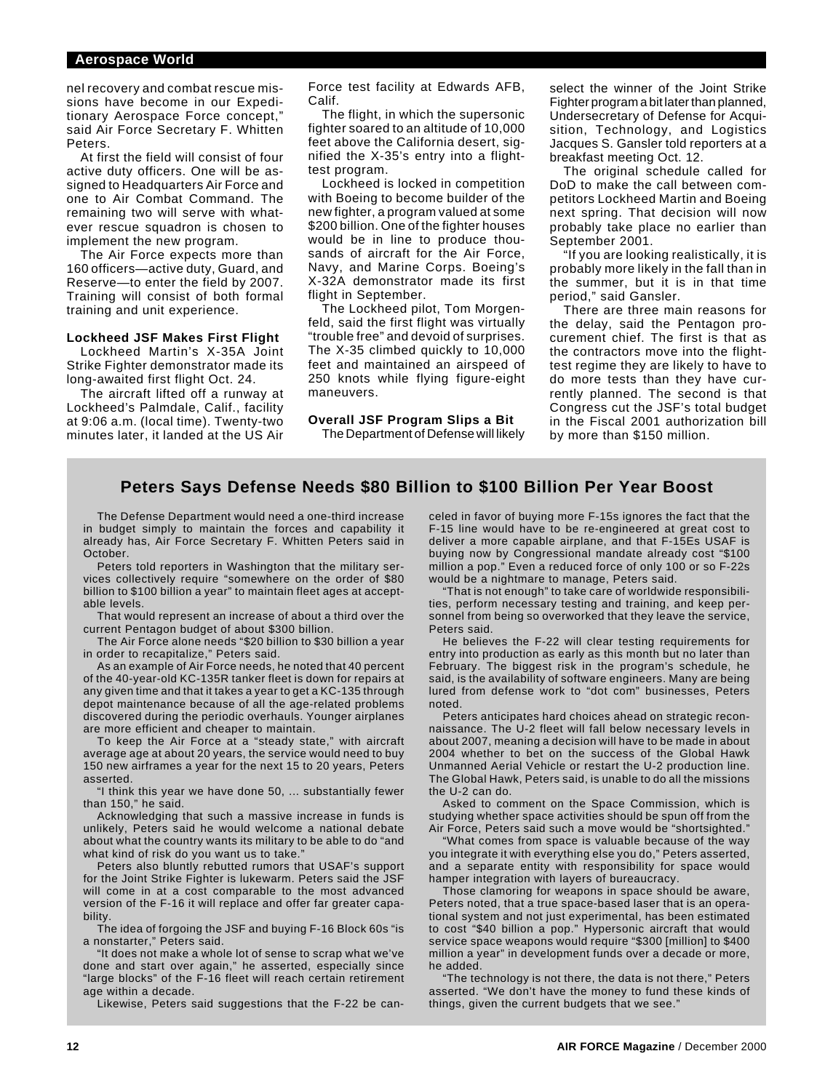## **Aerospace World**

nel recovery and combat rescue missions have become in our Expeditionary Aerospace Force concept," said Air Force Secretary F. Whitten Peters.

At first the field will consist of four active duty officers. One will be assigned to Headquarters Air Force and one to Air Combat Command. The remaining two will serve with whatever rescue squadron is chosen to implement the new program.

The Air Force expects more than 160 officers—active duty, Guard, and Reserve—to enter the field by 2007. Training will consist of both formal training and unit experience.

#### **Lockheed JSF Makes First Flight**

Lockheed Martin's X-35A Joint Strike Fighter demonstrator made its long-awaited first flight Oct. 24.

The aircraft lifted off a runway at Lockheed's Palmdale, Calif., facility at 9:06 a.m. (local time). Twenty-two minutes later, it landed at the US Air Force test facility at Edwards AFB, Calif.

The flight, in which the supersonic fighter soared to an altitude of 10,000 feet above the California desert, signified the X-35's entry into a flighttest program.

Lockheed is locked in competition with Boeing to become builder of the new fighter, a program valued at some \$200 billion. One of the fighter houses would be in line to produce thousands of aircraft for the Air Force, Navy, and Marine Corps. Boeing's X-32A demonstrator made its first flight in September.

The Lockheed pilot, Tom Morgenfeld, said the first flight was virtually "trouble free" and devoid of surprises. The X-35 climbed quickly to 10,000 feet and maintained an airspeed of 250 knots while flying figure-eight maneuvers.

**Overall JSF Program Slips a Bit** The Department of Defense will likely select the winner of the Joint Strike Fighter program a bit later than planned, Undersecretary of Defense for Acquisition, Technology, and Logistics Jacques S. Gansler told reporters at a breakfast meeting Oct. 12.

The original schedule called for DoD to make the call between competitors Lockheed Martin and Boeing next spring. That decision will now probably take place no earlier than September 2001.

"If you are looking realistically, it is probably more likely in the fall than in the summer, but it is in that time period," said Gansler.

There are three main reasons for the delay, said the Pentagon procurement chief. The first is that as the contractors move into the flighttest regime they are likely to have to do more tests than they have currently planned. The second is that Congress cut the JSF's total budget in the Fiscal 2001 authorization bill by more than \$150 million.

## **Peters Says Defense Needs \$80 Billion to \$100 Billion Per Year Boost**

The Defense Department would need a one-third increase in budget simply to maintain the forces and capability it already has, Air Force Secretary F. Whitten Peters said in October.

Peters told reporters in Washington that the military services collectively require "somewhere on the order of \$80 billion to \$100 billion a year" to maintain fleet ages at acceptable levels.

That would represent an increase of about a third over the current Pentagon budget of about \$300 billion.

The Air Force alone needs "\$20 billion to \$30 billion a year in order to recapitalize," Peters said.

As an example of Air Force needs, he noted that 40 percent of the 40-year-old KC-135R tanker fleet is down for repairs at any given time and that it takes a year to get a KC-135 through depot maintenance because of all the age-related problems discovered during the periodic overhauls. Younger airplanes are more efficient and cheaper to maintain.

To keep the Air Force at a "steady state," with aircraft average age at about 20 years, the service would need to buy 150 new airframes a year for the next 15 to 20 years, Peters asserted.

"I think this year we have done 50, ... substantially fewer than 150," he said.

Acknowledging that such a massive increase in funds is unlikely, Peters said he would welcome a national debate about what the country wants its military to be able to do "and what kind of risk do you want us to take."

Peters also bluntly rebutted rumors that USAF's support for the Joint Strike Fighter is lukewarm. Peters said the JSF will come in at a cost comparable to the most advanced version of the F-16 it will replace and offer far greater capability.

The idea of forgoing the JSF and buying F-16 Block 60s "is a nonstarter," Peters said.

"It does not make a whole lot of sense to scrap what we've done and start over again," he asserted, especially since "large blocks" of the F-16 fleet will reach certain retirement age within a decade.

Likewise, Peters said suggestions that the F-22 be can-

celed in favor of buying more F-15s ignores the fact that the F-15 line would have to be re-engineered at great cost to deliver a more capable airplane, and that F-15Es USAF is buying now by Congressional mandate already cost "\$100 million a pop." Even a reduced force of only 100 or so F-22s would be a nightmare to manage, Peters said.

"That is not enough" to take care of worldwide responsibilities, perform necessary testing and training, and keep personnel from being so overworked that they leave the service, Peters said.

He believes the F-22 will clear testing requirements for entry into production as early as this month but no later than February. The biggest risk in the program's schedule, he said, is the availability of software engineers. Many are being lured from defense work to "dot com" businesses, Peters noted.

Peters anticipates hard choices ahead on strategic reconnaissance. The U-2 fleet will fall below necessary levels in about 2007, meaning a decision will have to be made in about 2004 whether to bet on the success of the Global Hawk Unmanned Aerial Vehicle or restart the U-2 production line. The Global Hawk, Peters said, is unable to do all the missions the U-2 can do.

Asked to comment on the Space Commission, which is studying whether space activities should be spun off from the Air Force, Peters said such a move would be "shortsighted."

"What comes from space is valuable because of the way you integrate it with everything else you do," Peters asserted, and a separate entity with responsibility for space would hamper integration with layers of bureaucracy.

Those clamoring for weapons in space should be aware, Peters noted, that a true space-based laser that is an operational system and not just experimental, has been estimated to cost "\$40 billion a pop." Hypersonic aircraft that would service space weapons would require "\$300 [million] to \$400 million a year" in development funds over a decade or more, he added.

"The technology is not there, the data is not there," Peters asserted. "We don't have the money to fund these kinds of things, given the current budgets that we see."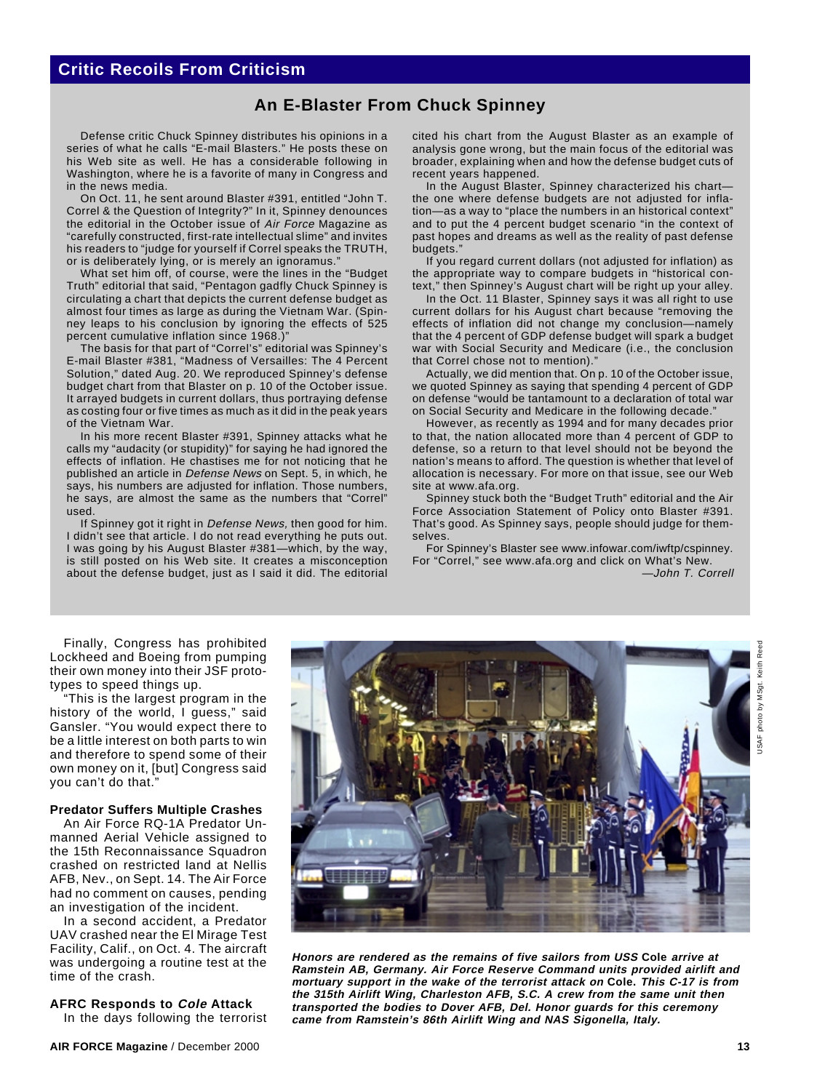## **An E-Blaster From Chuck Spinney**

Defense critic Chuck Spinney distributes his opinions in a series of what he calls "E-mail Blasters." He posts these on his Web site as well. He has a considerable following in Washington, where he is a favorite of many in Congress and in the news media.

On Oct. 11, he sent around Blaster #391, entitled "John T. Correl & the Question of Integrity?" In it, Spinney denounces the editorial in the October issue of Air Force Magazine as "carefully constructed, first-rate intellectual slime" and invites his readers to "judge for yourself if Correl speaks the TRUTH, or is deliberately lying, or is merely an ignoramus.

What set him off, of course, were the lines in the "Budget Truth" editorial that said, "Pentagon gadfly Chuck Spinney is circulating a chart that depicts the current defense budget as almost four times as large as during the Vietnam War. (Spinney leaps to his conclusion by ignoring the effects of 525 percent cumulative inflation since 1968.)"

The basis for that part of "Correl's" editorial was Spinney's E-mail Blaster #381, "Madness of Versailles: The 4 Percent Solution," dated Aug. 20. We reproduced Spinney's defense budget chart from that Blaster on p. 10 of the October issue. It arrayed budgets in current dollars, thus portraying defense as costing four or five times as much as it did in the peak years of the Vietnam War.

In his more recent Blaster #391, Spinney attacks what he calls my "audacity (or stupidity)" for saying he had ignored the effects of inflation. He chastises me for not noticing that he published an article in Defense News on Sept. 5, in which, he says, his numbers are adjusted for inflation. Those numbers, he says, are almost the same as the numbers that "Correl" used.

If Spinney got it right in Defense News, then good for him. I didn't see that article. I do not read everything he puts out. I was going by his August Blaster #381—which, by the way, is still posted on his Web site. It creates a misconception about the defense budget, just as I said it did. The editorial

cited his chart from the August Blaster as an example of analysis gone wrong, but the main focus of the editorial was broader, explaining when and how the defense budget cuts of recent years happened.

In the August Blaster, Spinney characterized his chartthe one where defense budgets are not adjusted for inflation—as a way to "place the numbers in an historical context" and to put the 4 percent budget scenario "in the context of past hopes and dreams as well as the reality of past defense budgets."

If you regard current dollars (not adjusted for inflation) as the appropriate way to compare budgets in "historical context," then Spinney's August chart will be right up your alley.

In the Oct. 11 Blaster, Spinney says it was all right to use current dollars for his August chart because "removing the effects of inflation did not change my conclusion—namely that the 4 percent of GDP defense budget will spark a budget war with Social Security and Medicare (i.e., the conclusion that Correl chose not to mention)."

Actually, we did mention that. On p. 10 of the October issue, we quoted Spinney as saying that spending 4 percent of GDP on defense "would be tantamount to a declaration of total war on Social Security and Medicare in the following decade."

However, as recently as 1994 and for many decades prior to that, the nation allocated more than 4 percent of GDP to defense, so a return to that level should not be beyond the nation's means to afford. The question is whether that level of allocation is necessary. For more on that issue, see our Web site at www.afa.org.

Spinney stuck both the "Budget Truth" editorial and the Air Force Association Statement of Policy onto Blaster #391. That's good. As Spinney says, people should judge for themselves.

For Spinney's Blaster see www.infowar.com/iwftp/cspinney. For "Correl," see www.afa.org and click on What's New. —John T. Correll

Finally, Congress has prohibited Lockheed and Boeing from pumping their own money into their JSF prototypes to speed things up.

"This is the largest program in the history of the world, I guess," said Gansler. "You would expect there to be a little interest on both parts to win and therefore to spend some of their own money on it, [but] Congress said you can't do that."

## **Predator Suffers Multiple Crashes**

An Air Force RQ-1A Predator Unmanned Aerial Vehicle assigned to the 15th Reconnaissance Squadron crashed on restricted land at Nellis AFB, Nev., on Sept. 14. The Air Force had no comment on causes, pending an investigation of the incident.

In a second accident, a Predator UAV crashed near the El Mirage Test Facility, Calif., on Oct. 4. The aircraft was undergoing a routine test at the time of the crash.

#### **AFRC Responds to Cole Attack** In the days following the terrorist

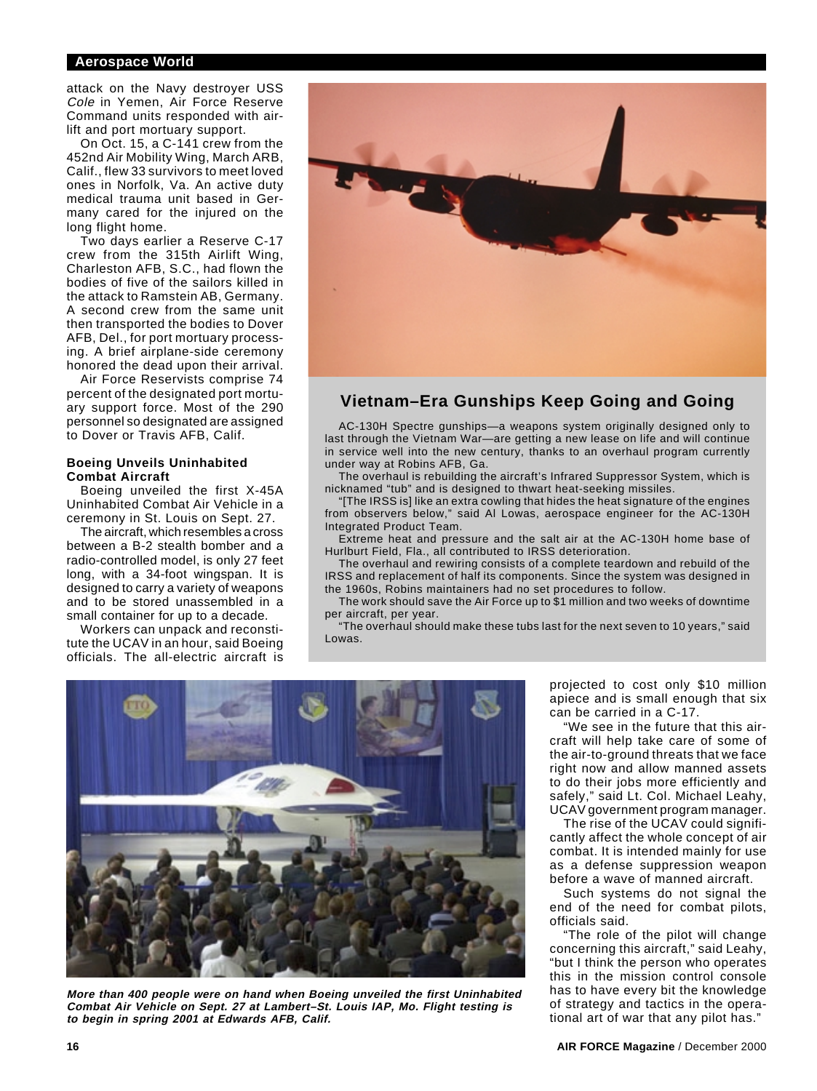## **Aerospace World**

attack on the Navy destroyer USS Cole in Yemen, Air Force Reserve Command units responded with airlift and port mortuary support.

On Oct. 15, a C-141 crew from the 452nd Air Mobility Wing, March ARB, Calif., flew 33 survivors to meet loved ones in Norfolk, Va. An active duty medical trauma unit based in Germany cared for the injured on the long flight home.

Two days earlier a Reserve C-17 crew from the 315th Airlift Wing, Charleston AFB, S.C., had flown the bodies of five of the sailors killed in the attack to Ramstein AB, Germany. A second crew from the same unit then transported the bodies to Dover AFB, Del., for port mortuary processing. A brief airplane-side ceremony honored the dead upon their arrival.

Air Force Reservists comprise 74 percent of the designated port mortuary support force. Most of the 290 personnel so designated are assigned to Dover or Travis AFB, Calif.

## **Boeing Unveils Uninhabited Combat Aircraft**

Boeing unveiled the first X-45A Uninhabited Combat Air Vehicle in a ceremony in St. Louis on Sept. 27.

The aircraft, which resembles a cross between a B-2 stealth bomber and a radio-controlled model, is only 27 feet long, with a 34-foot wingspan. It is designed to carry a variety of weapons and to be stored unassembled in a small container for up to a decade.

Workers can unpack and reconstitute the UCAV in an hour, said Boeing officials. The all-electric aircraft is



## **Vietnam–Era Gunships Keep Going and Going**

AC-130H Spectre gunships—a weapons system originally designed only to last through the Vietnam War—are getting a new lease on life and will continue in service well into the new century, thanks to an overhaul program currently under way at Robins AFB, Ga.

The overhaul is rebuilding the aircraft's Infrared Suppressor System, which is nicknamed "tub" and is designed to thwart heat-seeking missiles.

"[The IRSS is] like an extra cowling that hides the heat signature of the engines from observers below," said Al Lowas, aerospace engineer for the AC-130H Integrated Product Team.

Extreme heat and pressure and the salt air at the AC-130H home base of Hurlburt Field, Fla., all contributed to IRSS deterioration.

The overhaul and rewiring consists of a complete teardown and rebuild of the IRSS and replacement of half its components. Since the system was designed in the 1960s, Robins maintainers had no set procedures to follow.

The work should save the Air Force up to \$1 million and two weeks of downtime per aircraft, per year.

"The overhaul should make these tubs last for the next seven to 10 years," said Lowas.



**More than 400 people were on hand when Boeing unveiled the first Uninhabited Combat Air Vehicle on Sept. 27 at Lambert–St. Louis IAP, Mo. Flight testing is to begin in spring 2001 at Edwards AFB, Calif.**

projected to cost only \$10 million apiece and is small enough that six can be carried in a C-17.

"We see in the future that this aircraft will help take care of some of the air-to-ground threats that we face right now and allow manned assets to do their jobs more efficiently and safely," said Lt. Col. Michael Leahy, UCAV government program manager.

The rise of the UCAV could significantly affect the whole concept of air combat. It is intended mainly for use as a defense suppression weapon before a wave of manned aircraft.

Such systems do not signal the end of the need for combat pilots, officials said.

"The role of the pilot will change concerning this aircraft," said Leahy, "but I think the person who operates this in the mission control console has to have every bit the knowledge of strategy and tactics in the operational art of war that any pilot has."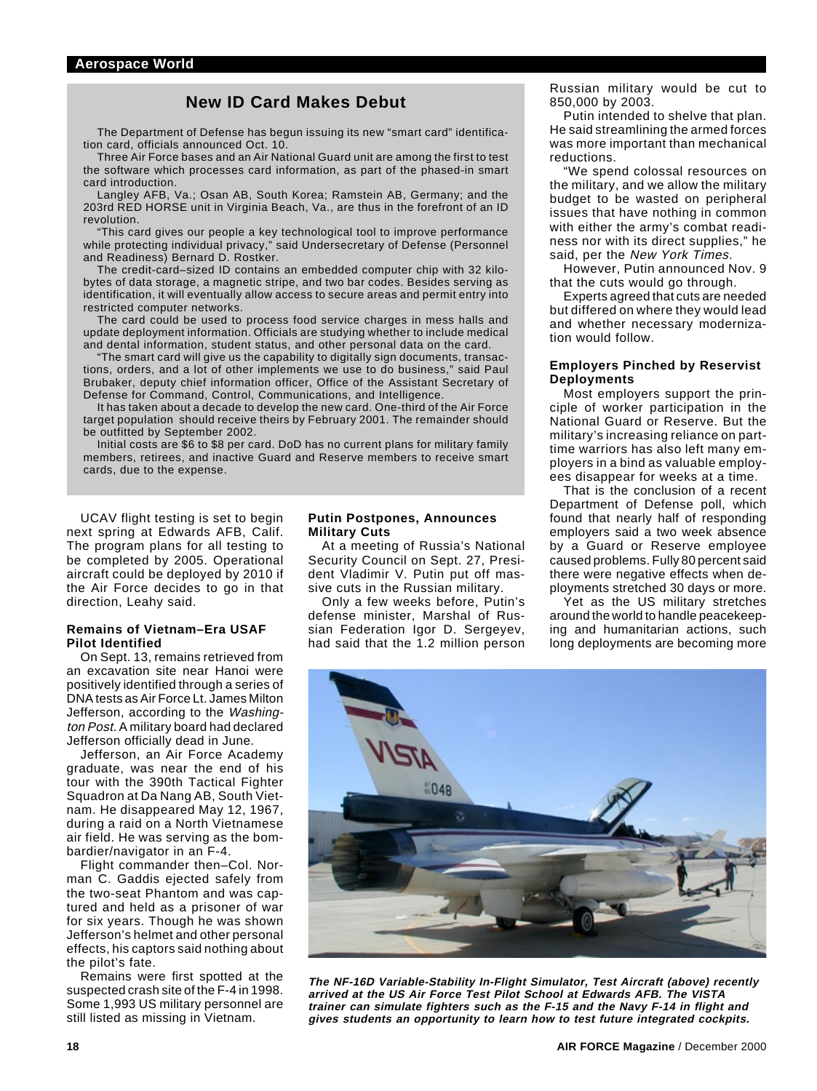## **New ID Card Makes Debut**

The Department of Defense has begun issuing its new "smart card" identification card, officials announced Oct. 10.

Three Air Force bases and an Air National Guard unit are among the first to test the software which processes card information, as part of the phased-in smart card introduction.

Langley AFB, Va.; Osan AB, South Korea; Ramstein AB, Germany; and the 203rd RED HORSE unit in Virginia Beach, Va., are thus in the forefront of an ID revolution.

"This card gives our people a key technological tool to improve performance while protecting individual privacy," said Undersecretary of Defense (Personnel and Readiness) Bernard D. Rostker.

The credit-card–sized ID contains an embedded computer chip with 32 kilobytes of data storage, a magnetic stripe, and two bar codes. Besides serving as identification, it will eventually allow access to secure areas and permit entry into restricted computer networks.

The card could be used to process food service charges in mess halls and update deployment information. Officials are studying whether to include medical and dental information, student status, and other personal data on the card.

"The smart card will give us the capability to digitally sign documents, transactions, orders, and a lot of other implements we use to do business," said Paul Brubaker, deputy chief information officer, Office of the Assistant Secretary of Defense for Command, Control, Communications, and Intelligence.

It has taken about a decade to develop the new card. One-third of the Air Force target population should receive theirs by February 2001. The remainder should be outfitted by September 2002.

Initial costs are \$6 to \$8 per card. DoD has no current plans for military family members, retirees, and inactive Guard and Reserve members to receive smart cards, due to the expense.

UCAV flight testing is set to begin next spring at Edwards AFB, Calif. The program plans for all testing to be completed by 2005. Operational aircraft could be deployed by 2010 if the Air Force decides to go in that direction, Leahy said.

#### **Remains of Vietnam–Era USAF Pilot Identified**

On Sept. 13, remains retrieved from an excavation site near Hanoi were positively identified through a series of DNA tests as Air Force Lt. James Milton Jefferson, according to the Washington Post. A military board had declared Jefferson officially dead in June.

Jefferson, an Air Force Academy graduate, was near the end of his tour with the 390th Tactical Fighter Squadron at Da Nang AB, South Vietnam. He disappeared May 12, 1967, during a raid on a North Vietnamese air field. He was serving as the bombardier/navigator in an F-4.

Flight commander then–Col. Norman C. Gaddis ejected safely from the two-seat Phantom and was captured and held as a prisoner of war for six years. Though he was shown Jefferson's helmet and other personal effects, his captors said nothing about the pilot's fate.

Remains were first spotted at the suspected crash site of the F-4 in 1998. Some 1,993 US military personnel are still listed as missing in Vietnam.

## **Putin Postpones, Announces Military Cuts**

At a meeting of Russia's National Security Council on Sept. 27, President Vladimir V. Putin put off massive cuts in the Russian military.

Only a few weeks before, Putin's defense minister, Marshal of Russian Federation Igor D. Sergeyev, had said that the 1.2 million person

Russian military would be cut to 850,000 by 2003.

Putin intended to shelve that plan. He said streamlining the armed forces was more important than mechanical reductions.

"We spend colossal resources on the military, and we allow the military budget to be wasted on peripheral issues that have nothing in common with either the army's combat readiness nor with its direct supplies," he said, per the New York Times.

However, Putin announced Nov. 9 that the cuts would go through.

Experts agreed that cuts are needed but differed on where they would lead and whether necessary modernization would follow.

## **Employers Pinched by Reservist Deployments**

Most employers support the principle of worker participation in the National Guard or Reserve. But the military's increasing reliance on parttime warriors has also left many employers in a bind as valuable employees disappear for weeks at a time.

That is the conclusion of a recent Department of Defense poll, which found that nearly half of responding employers said a two week absence by a Guard or Reserve employee caused problems. Fully 80 percent said there were negative effects when deployments stretched 30 days or more.

Yet as the US military stretches around the world to handle peacekeeping and humanitarian actions, such long deployments are becoming more



**The NF-16D Variable-Stability In-Flight Simulator, Test Aircraft (above) recently arrived at the US Air Force Test Pilot School at Edwards AFB. The VISTA trainer can simulate fighters such as the F-15 and the Navy F-14 in flight and gives students an opportunity to learn how to test future integrated cockpits.**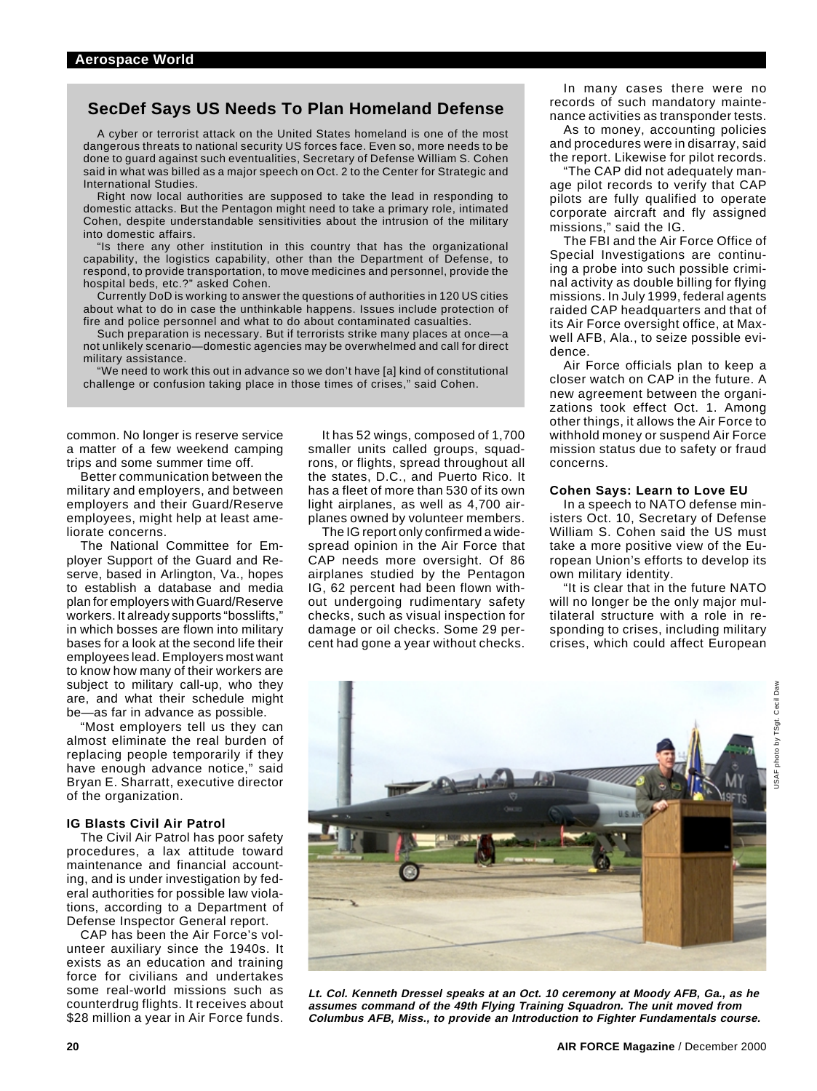## **SecDef Says US Needs To Plan Homeland Defense**

A cyber or terrorist attack on the United States homeland is one of the most dangerous threats to national security US forces face. Even so, more needs to be done to guard against such eventualities, Secretary of Defense William S. Cohen said in what was billed as a major speech on Oct. 2 to the Center for Strategic and International Studies.

Right now local authorities are supposed to take the lead in responding to domestic attacks. But the Pentagon might need to take a primary role, intimated Cohen, despite understandable sensitivities about the intrusion of the military into domestic affairs.

"Is there any other institution in this country that has the organizational capability, the logistics capability, other than the Department of Defense, to respond, to provide transportation, to move medicines and personnel, provide the hospital beds, etc.?" asked Cohen.

Currently DoD is working to answer the questions of authorities in 120 US cities about what to do in case the unthinkable happens. Issues include protection of fire and police personnel and what to do about contaminated casualties.

Such preparation is necessary. But if terrorists strike many places at once—a not unlikely scenario—domestic agencies may be overwhelmed and call for direct military assistance.

"We need to work this out in advance so we don't have [a] kind of constitutional challenge or confusion taking place in those times of crises," said Cohen.

common. No longer is reserve service a matter of a few weekend camping trips and some summer time off.

Better communication between the military and employers, and between employers and their Guard/Reserve employees, might help at least ameliorate concerns.

The National Committee for Employer Support of the Guard and Reserve, based in Arlington, Va., hopes to establish a database and media plan for employers with Guard/Reserve workers. It already supports "bosslifts," in which bosses are flown into military bases for a look at the second life their employees lead. Employers most want to know how many of their workers are subject to military call-up, who they are, and what their schedule might be—as far in advance as possible.

"Most employers tell us they can almost eliminate the real burden of replacing people temporarily if they have enough advance notice," said Bryan E. Sharratt, executive director of the organization.

## **IG Blasts Civil Air Patrol**

The Civil Air Patrol has poor safety procedures, a lax attitude toward maintenance and financial accounting, and is under investigation by federal authorities for possible law violations, according to a Department of Defense Inspector General report.

CAP has been the Air Force's volunteer auxiliary since the 1940s. It exists as an education and training force for civilians and undertakes some real-world missions such as counterdrug flights. It receives about \$28 million a year in Air Force funds.

It has 52 wings, composed of 1,700 smaller units called groups, squadrons, or flights, spread throughout all the states, D.C., and Puerto Rico. It has a fleet of more than 530 of its own light airplanes, as well as 4,700 airplanes owned by volunteer members.

The IG report only confirmed a widespread opinion in the Air Force that CAP needs more oversight. Of 86 airplanes studied by the Pentagon IG, 62 percent had been flown without undergoing rudimentary safety checks, such as visual inspection for damage or oil checks. Some 29 percent had gone a year without checks.

In many cases there were no records of such mandatory maintenance activities as transponder tests.

As to money, accounting policies and procedures were in disarray, said the report. Likewise for pilot records.

"The CAP did not adequately manage pilot records to verify that CAP pilots are fully qualified to operate corporate aircraft and fly assigned missions," said the IG.

The FBI and the Air Force Office of Special Investigations are continuing a probe into such possible criminal activity as double billing for flying missions. In July 1999, federal agents raided CAP headquarters and that of its Air Force oversight office, at Maxwell AFB, Ala., to seize possible evidence.

Air Force officials plan to keep a closer watch on CAP in the future. A new agreement between the organizations took effect Oct. 1. Among other things, it allows the Air Force to withhold money or suspend Air Force mission status due to safety or fraud concerns.

## **Cohen Says: Learn to Love EU**

In a speech to NATO defense ministers Oct. 10, Secretary of Defense William S. Cohen said the US must take a more positive view of the European Union's efforts to develop its own military identity.

"It is clear that in the future NATO will no longer be the only major multilateral structure with a role in responding to crises, including military crises, which could affect European



**Lt. Col. Kenneth Dressel speaks at an Oct. 10 ceremony at Moody AFB, Ga., as he assumes command of the 49th Flying Training Squadron. The unit moved from Columbus AFB, Miss., to provide an Introduction to Fighter Fundamentals course.**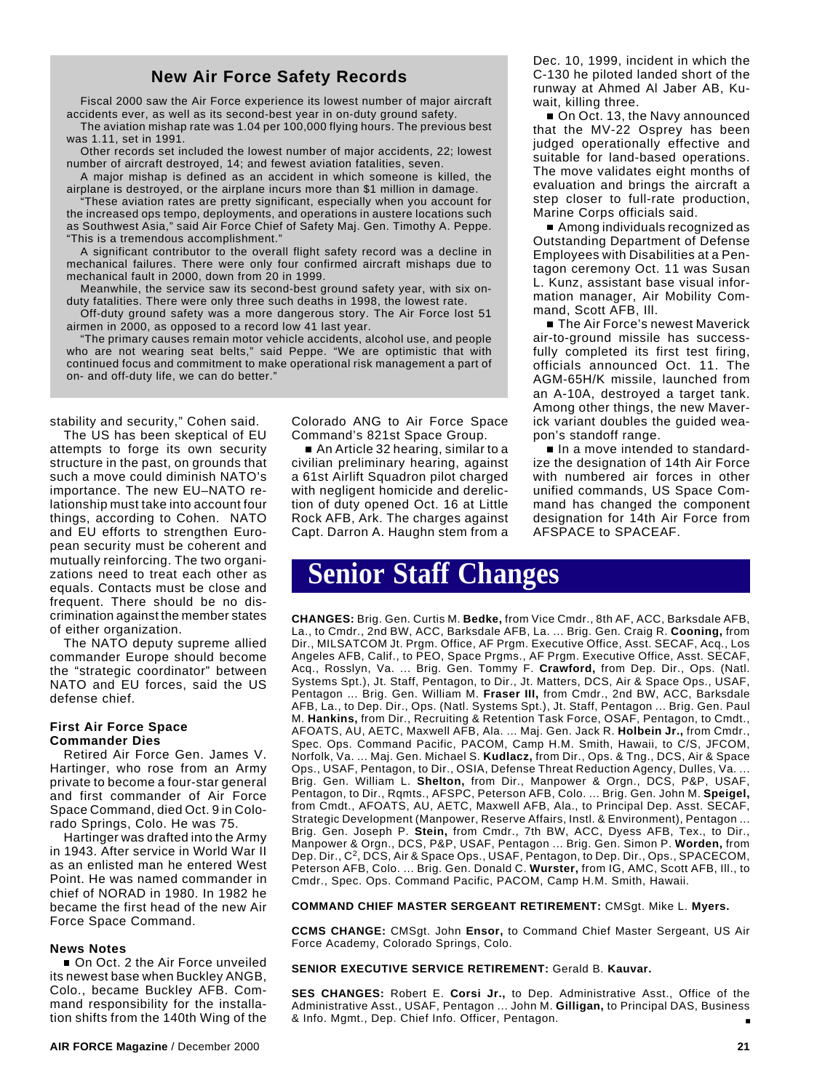## **New Air Force Safety Records**

Fiscal 2000 saw the Air Force experience its lowest number of major aircraft accidents ever, as well as its second-best year in on-duty ground safety.

The aviation mishap rate was 1.04 per 100,000 flying hours. The previous best was 1.11, set in 1991.

Other records set included the lowest number of major accidents, 22; lowest number of aircraft destroyed, 14; and fewest aviation fatalities, seven.

A major mishap is defined as an accident in which someone is killed, the airplane is destroyed, or the airplane incurs more than \$1 million in damage.

"These aviation rates are pretty significant, especially when you account for the increased ops tempo, deployments, and operations in austere locations such as Southwest Asia," said Air Force Chief of Safety Maj. Gen. Timothy A. Peppe. "This is a tremendous accomplishment."

A significant contributor to the overall flight safety record was a decline in mechanical failures. There were only four confirmed aircraft mishaps due to mechanical fault in 2000, down from 20 in 1999.

Meanwhile, the service saw its second-best ground safety year, with six onduty fatalities. There were only three such deaths in 1998, the lowest rate.

Off-duty ground safety was a more dangerous story. The Air Force lost 51 airmen in 2000, as opposed to a record low 41 last year.

"The primary causes remain motor vehicle accidents, alcohol use, and people who are not wearing seat belts," said Peppe. "We are optimistic that with continued focus and commitment to make operational risk management a part of on- and off-duty life, we can do better."

stability and security," Cohen said.

The US has been skeptical of EU attempts to forge its own security structure in the past, on grounds that such a move could diminish NATO's importance. The new EU–NATO relationship must take into account four things, according to Cohen. NATO and EU efforts to strengthen European security must be coherent and mutually reinforcing. The two organizations need to treat each other as equals. Contacts must be close and frequent. There should be no discrimination against the member states of either organization.

The NATO deputy supreme allied commander Europe should become the "strategic coordinator" between NATO and EU forces, said the US defense chief.

## **First Air Force Space Commander Dies**

Retired Air Force Gen. James V. Hartinger, who rose from an Army private to become a four-star general and first commander of Air Force Space Command, died Oct. 9 in Colorado Springs, Colo. He was 75.

Hartinger was drafted into the Army in 1943. After service in World War II as an enlisted man he entered West Point. He was named commander in chief of NORAD in 1980. In 1982 he became the first head of the new Air Force Space Command.

### **News Notes**

On Oct. 2 the Air Force unveiled its newest base when Buckley ANGB, Colo., became Buckley AFB. Command responsibility for the installation shifts from the 140th Wing of the

Colorado ANG to Air Force Space Command's 821st Space Group.

■ An Article 32 hearing, similar to a civilian preliminary hearing, against a 61st Airlift Squadron pilot charged with negligent homicide and dereliction of duty opened Oct. 16 at Little Rock AFB, Ark. The charges against Capt. Darron A. Haughn stem from a Dec. 10, 1999, incident in which the C-130 he piloted landed short of the runway at Ahmed Al Jaber AB, Kuwait, killing three.

■ On Oct. 13, the Navy announced that the MV-22 Osprey has been judged operationally effective and suitable for land-based operations. The move validates eight months of evaluation and brings the aircraft a step closer to full-rate production, Marine Corps officials said.

Among individuals recognized as Outstanding Department of Defense Employees with Disabilities at a Pentagon ceremony Oct. 11 was Susan L. Kunz, assistant base visual information manager, Air Mobility Command, Scott AFB, Ill.

**The Air Force's newest Maverick** air-to-ground missile has successfully completed its first test firing, officials announced Oct. 11. The AGM-65H/K missile, launched from an A-10A, destroyed a target tank. Among other things, the new Maverick variant doubles the guided weapon's standoff range.

■ In a move intended to standardize the designation of 14th Air Force with numbered air forces in other unified commands, US Space Command has changed the component designation for 14th Air Force from AFSPACE to SPACEAF.

## **Senior Staff Changes**

**CHANGES:** Brig. Gen. Curtis M. **Bedke,** from Vice Cmdr., 8th AF, ACC, Barksdale AFB, La., to Cmdr., 2nd BW, ACC, Barksdale AFB, La. ... Brig. Gen. Craig R. **Cooning,** from Dir., MILSATCOM Jt. Prgm. Office, AF Prgm. Executive Office, Asst. SECAF, Acq., Los Angeles AFB, Calif., to PEO, Space Prgms., AF Prgm. Executive Office, Asst. SECAF, Acq., Rosslyn, Va. ... Brig. Gen. Tommy F. **Crawford,** from Dep. Dir., Ops. (Natl. Systems Spt.), Jt. Staff, Pentagon, to Dir., Jt. Matters, DCS, Air & Space Ops., USAF, Pentagon ... Brig. Gen. William M. **Fraser III,** from Cmdr., 2nd BW, ACC, Barksdale AFB, La., to Dep. Dir., Ops. (Natl. Systems Spt.), Jt. Staff, Pentagon ... Brig. Gen. Paul M. **Hankins,** from Dir., Recruiting & Retention Task Force, OSAF, Pentagon, to Cmdt., AFOATS, AU, AETC, Maxwell AFB, Ala. ... Maj. Gen. Jack R. **Holbein Jr.,** from Cmdr., Spec. Ops. Command Pacific, PACOM, Camp H.M. Smith, Hawaii, to C/S, JFCOM, Norfolk, Va. ... Maj. Gen. Michael S. **Kudlacz,** from Dir., Ops. & Tng., DCS, Air & Space Ops., USAF, Pentagon, to Dir., OSIA, Defense Threat Reduction Agency, Dulles, Va. ... Brig. Gen. William L. **Shelton,** from Dir., Manpower & Orgn., DCS, P&P, USAF, Pentagon, to Dir., Rqmts., AFSPC, Peterson AFB, Colo. ... Brig. Gen. John M. **Speigel,** from Cmdt., AFOATS, AU, AETC, Maxwell AFB, Ala., to Principal Dep. Asst. SECAF, Strategic Development (Manpower, Reserve Affairs, Instl. & Environment), Pentagon ... Brig. Gen. Joseph P. **Stein,** from Cmdr., 7th BW, ACC, Dyess AFB, Tex., to Dir., Manpower & Orgn., DCS, P&P, USAF, Pentagon ... Brig. Gen. Simon P. **Worden,** from Dep. Dir., C2, DCS, Air & Space Ops., USAF, Pentagon, to Dep. Dir., Ops., SPACECOM, Peterson AFB, Colo. ... Brig. Gen. Donald C. **Wurster,** from IG, AMC, Scott AFB, Ill., to Cmdr., Spec. Ops. Command Pacific, PACOM, Camp H.M. Smith, Hawaii.

#### **COMMAND CHIEF MASTER SERGEANT RETIREMENT:** CMSgt. Mike L. **Myers.**

**CCMS CHANGE:** CMSgt. John **Ensor,** to Command Chief Master Sergeant, US Air Force Academy, Colorado Springs, Colo.

#### **SENIOR EXECUTIVE SERVICE RETIREMENT:** Gerald B. **Kauvar.**

**SES CHANGES:** Robert E. **Corsi Jr.,** to Dep. Administrative Asst., Office of the Administrative Asst., USAF, Pentagon ... John M. **Gilligan,** to Principal DAS, Business & Info. Mgmt., Dep. Chief Info. Officer, Pentagon.